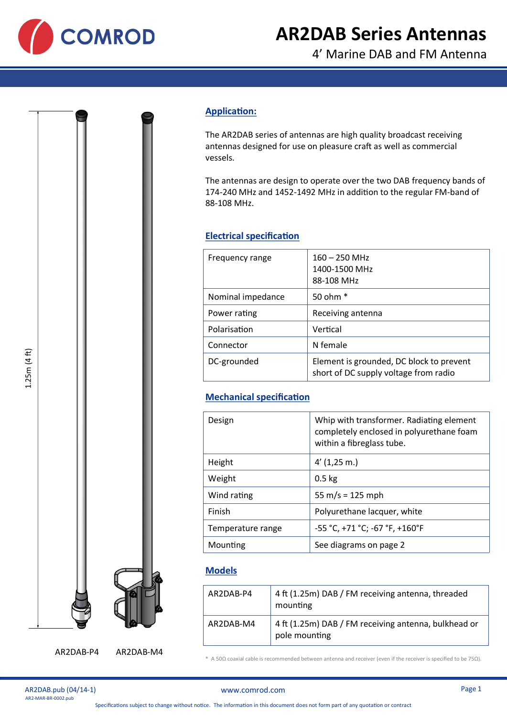

# **AR2DAB Series Antennas**

4' Marine DAB and FM Antenna

# **Application:**

The AR2DAB series of antennas are high quality broadcast receiving antennas designed for use on pleasure craft as well as commercial vessels.

The antennas are design to operate over the two DAB frequency bands of 174-240 MHz and 1452-1492 MHz in addition to the regular FM-band of 88-108 MHz.

## **Electrical specification**

| Frequency range   | $160 - 250$ MHz<br>1400-1500 MHz<br>88-108 MHz                                    |
|-------------------|-----------------------------------------------------------------------------------|
| Nominal impedance | 50 ohm $*$                                                                        |
| Power rating      | Receiving antenna                                                                 |
| Polarisation      | Vertical                                                                          |
| Connector         | N female                                                                          |
| DC-grounded       | Element is grounded, DC block to prevent<br>short of DC supply voltage from radio |

# **Mechanical specification**

| Design            | Whip with transformer. Radiating element<br>completely enclosed in polyurethane foam<br>within a fibreglass tube. |
|-------------------|-------------------------------------------------------------------------------------------------------------------|
| Height            | $4'$ (1,25 m.)                                                                                                    |
| Weight            | $0.5$ kg                                                                                                          |
| Wind rating       | 55 m/s = $125$ mph                                                                                                |
| Finish            | Polyurethane lacquer, white                                                                                       |
| Temperature range | $-55 °C$ , +71 °C; -67 °F, +160°F                                                                                 |
| Mounting          | See diagrams on page 2                                                                                            |

## **Models**

| AR2DAB-P4 | 4 ft (1.25m) DAB / FM receiving antenna, threaded<br>mounting         |
|-----------|-----------------------------------------------------------------------|
| AR2DAB-M4 | 4 ft (1.25m) DAB / FM receiving antenna, bulkhead or<br>pole mounting |

\* A 50Ω coaxial cable is recommended between antenna and receiver (even if the receiver is specified to be 75Ω).



AR2DAB-P4 AR2DAB-M4

AR2DAB.pub (04/14-1)<br>AR2-MAR-BR-0002.pub